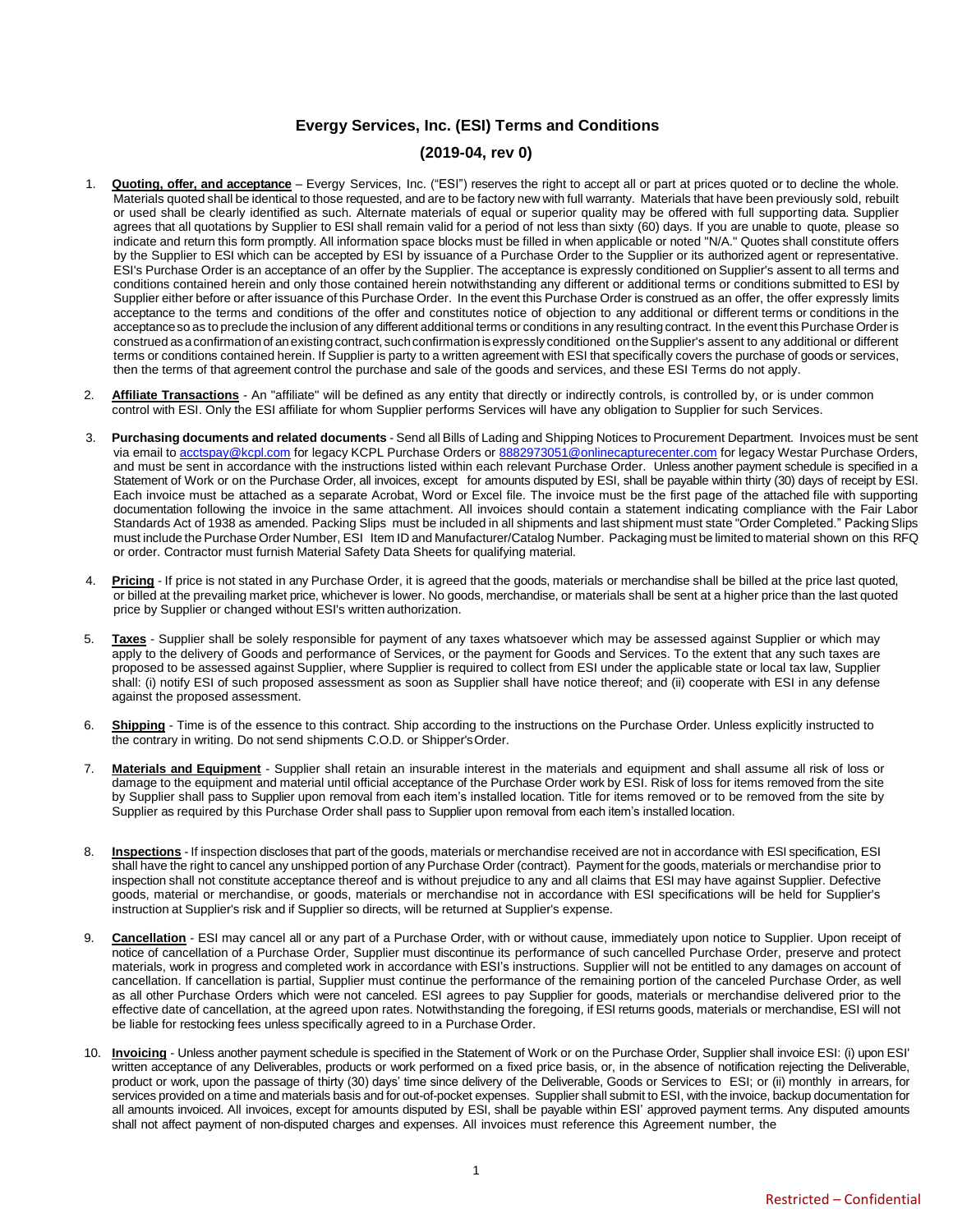### **Evergy Services, Inc. (ESI) Terms and Conditions**

#### **(2019-04, rev 0)**

- 1. **Quoting, offer, and acceptance** Evergy Services, Inc. ("ESI") reserves the right to accept all or part at prices quoted or to decline the whole. Materials quoted shall be identical to those requested, and are to be factory new with full warranty. Materials that have been previously sold, rebuilt or used shall be clearly identified as such. Alternate materials of equal or superior quality may be offered with full supporting data. Supplier agrees that all quotations by Supplier to ESI shall remain valid for a period of not less than sixty (60) days. If you are unable to quote, please so indicate and return this form promptly. All information space blocks must be filled in when applicable or noted "N/A." Quotes shall constitute offers by the Supplier to ESI which can be accepted by ESI by issuance of a Purchase Order to the Supplier or its authorized agent or representative. ESI's Purchase Order is an acceptance of an offer by the Supplier. The acceptance is expressly conditioned on Supplier's assent to all terms and conditions contained herein and only those contained herein notwithstanding any different or additional terms or conditions submitted to ESI by Supplier either before or after issuance of this Purchase Order. In the event this Purchase Order is construed as an offer, the offer expressly limits acceptance to the terms and conditions of the offer and constitutes notice of objection to any additional or different terms or conditions in the acceptanceso as to preclude the inclusion of any different additional terms or conditions in any resulting contract. In the event this Purchase Orderis construed as a confirmation of an existing contract, such confirmation is expressly conditioned on the Supplier's assent to any additional or different terms or conditions contained herein. If Supplier is party to a written agreement with ESI that specifically covers the purchase of goods or services, then the terms of that agreement control the purchase and sale of the goods and services, and these ESI Terms do not apply.
- 2. **Affiliate Transactions** An "affiliate" will be defined as any entity that directly or indirectly controls, is controlled by, or is under common control with ESI. Only the ESI affiliate for whom Supplier performs Services will have any obligation to Supplier for such Services.
- 3. **Purchasing documents and related documents** Send all Bills of Lading and Shipping Notices to Procurement Department. Invoices must be sent via email t[o acctspay@kcpl.com](mailto:acctspay@kcpl.com) for legacy KCPL Purchase Orders o[r 8882973051@onlinecapturecenter.com](mailto:8882973051@onlinecapturecenter.com) for legacy Westar Purchase Orders, and must be sent in accordance with the instructions listed within each relevant Purchase Order. Unless another payment schedule is specified in a Statement of Work or on the Purchase Order, all invoices, except for amounts disputed by ESI, shall be payable within thirty (30) days of receipt by ESI. Each invoice must be attached as a separate Acrobat, Word or Excel file. The invoice must be the first page of the attached file with supporting documentation following the invoice in the same attachment. All invoices should contain a statement indicating compliance with the Fair Labor Standards Act of 1938 as amended. Packing Slips must be included in all shipments and last shipment must state "Order Completed." Packing Slips must include the Purchase Order Number, ESI Item ID and Manufacturer/Catalog Number. Packaging must be limited to material shown on this RFQ or order. Contractor must furnish Material Safety Data Sheets for qualifying material.
- 4. Pricing If price is not stated in any Purchase Order, it is agreed that the goods, materials or merchandise shall be billed at the price last quoted, or billed at the prevailing market price, whichever is lower. No goods, merchandise, or materials shall be sent at a higher price than the last quoted price by Supplier or changed without ESI's written authorization.
- 5. **Taxes** Supplier shall be solely responsible for payment of any taxes whatsoever which may be assessed against Supplier or which may apply to the delivery of Goods and performance of Services, or the payment for Goods and Services. To the extent that any such taxes are proposed to be assessed against Supplier, where Supplier is required to collect from ESI under the applicable state or local tax law, Supplier shall: (i) notify ESI of such proposed assessment as soon as Supplier shall have notice thereof; and (ii) cooperate with ESI in any defense against the proposed assessment.
- 6. **Shipping** Time is of the essence to this contract. Ship according to the instructions on the Purchase Order. Unless explicitly instructed to the contrary in writing. Do not send shipments C.O.D. or Shipper'sOrder.
- 7. **Materials and Equipment** Supplier shall retain an insurable interest in the materials and equipment and shall assume all risk of loss or damage to the equipment and material until official acceptance of the Purchase Order work by ESI. Risk of loss for items removed from the site by Supplier shall pass to Supplier upon removal from each item's installed location. Title for items removed or to be removed from the site by Supplier as required by this Purchase Order shall pass to Supplier upon removal from each item's installed location.
- 8. **Inspections** If inspection discloses that part of the goods, materials or merchandise received are not in accordance with ESI specification, ESI shall have the right to cancel any unshipped portion of any Purchase Order (contract). Payment for the goods, materials or merchandise prior to inspection shall not constitute acceptance thereof and is without prejudice to any and all claims that ESI may have against Supplier. Defective goods, material or merchandise, or goods, materials or merchandise not in accordance with ESI specifications will be held for Supplier's instruction at Supplier's risk and if Supplier so directs, will be returned at Supplier's expense.
- 9. **Cancellation** ESI may cancel all or any part of a Purchase Order, with or without cause, immediately upon notice to Supplier. Upon receipt of notice of cancellation of a Purchase Order, Supplier must discontinue its performance of such cancelled Purchase Order, preserve and protect materials, work in progress and completed work in accordance with ESI's instructions. Supplier will not be entitled to any damages on account of cancellation. If cancellation is partial, Supplier must continue the performance of the remaining portion of the canceled Purchase Order, as well as all other Purchase Orders which were not canceled. ESI agrees to pay Supplier for goods, materials or merchandise delivered prior to the effective date of cancellation, at the agreed upon rates. Notwithstanding the foregoing, if ESI returns goods, materials or merchandise, ESI will not be liable for restocking fees unless specifically agreed to in a Purchase Order.
- 10. **Invoicing** Unless another payment schedule is specified in the Statement of Work or on the Purchase Order, Supplier shall invoice ESI: (i) upon ESI' written acceptance of any Deliverables, products or work performed on a fixed price basis, or, in the absence of notification rejecting the Deliverable, product or work, upon the passage of thirty (30) days' time since delivery of the Deliverable, Goods or Services to ESI; or (ii) monthly in arrears, for services provided on a time and materials basis and for out-of-pocket expenses. Supplier shall submit to ESI, with the invoice, backup documentation for all amounts invoiced. All invoices, except for amounts disputed by ESI, shall be payable within ESI' approved payment terms. Any disputed amounts shall not affect payment of non-disputed charges and expenses. All invoices must reference this Agreement number, the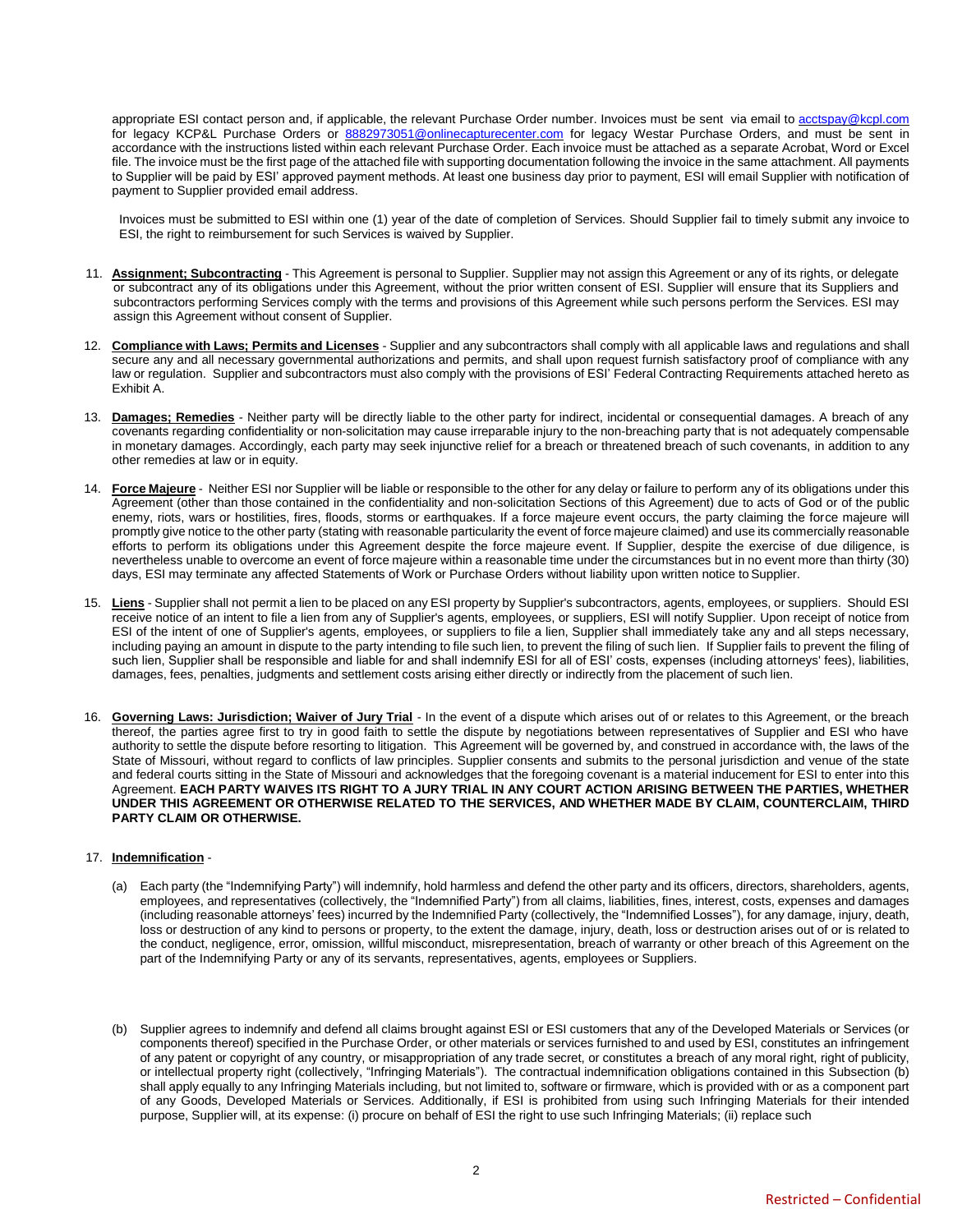appropriate ESI contact person and, if applicable, the relevant Purchase Order number. Invoices must be sent via email to [acctspay@kcpl.com](mailto:acctspay@kcpl.com) for legacy KCP&L Purchase Orders or [8882973051@onlinecapturecenter.com](mailto:8882973051@onlinecapturecenter.com) for legacy Westar Purchase Orders, and must be sent in accordance with the instructions listed within each relevant Purchase Order. Each invoice must be attached as a separate Acrobat, Word or Excel file. The invoice must be the first page of the attached file with supporting documentation following the invoice in the same attachment. All payments to Supplier will be paid by ESI' approved payment methods. At least one business day prior to payment, ESI will email Supplier with notification of payment to Supplier provided email address.

Invoices must be submitted to ESI within one (1) year of the date of completion of Services. Should Supplier fail to timely submit any invoice to ESI, the right to reimbursement for such Services is waived by Supplier.

- 11. **Assignment; Subcontracting** This Agreement is personal to Supplier. Supplier may not assign this Agreement or any of its rights, or delegate or subcontract any of its obligations under this Agreement, without the prior written consent of ESI. Supplier will ensure that its Suppliers and subcontractors performing Services comply with the terms and provisions of this Agreement while such persons perform the Services. ESI may assign this Agreement without consent of Supplier.
- 12. **Compliance with Laws; Permits and Licenses** Supplier and any subcontractors shall comply with all applicable laws and regulations and shall secure any and all necessary governmental authorizations and permits, and shall upon request furnish satisfactory proof of compliance with any law or regulation. Supplier and subcontractors must also comply with the provisions of ESI' Federal Contracting Requirements attached hereto as Exhibit A.
- 13. **Damages; Remedies** Neither party will be directly liable to the other party for indirect, incidental or consequential damages. A breach of any covenants regarding confidentiality or non-solicitation may cause irreparable injury to the non-breaching party that is not adequately compensable in monetary damages. Accordingly, each party may seek injunctive relief for a breach or threatened breach of such covenants, in addition to any other remedies at law or in equity.
- 14. **Force Majeure** Neither ESI nor Supplier will be liable or responsible to the other for any delay or failure to perform any of its obligations under this Agreement (other than those contained in the confidentiality and non-solicitation Sections of this Agreement) due to acts of God or of the public enemy, riots, wars or hostilities, fires, floods, storms or earthquakes. If a force majeure event occurs, the party claiming the force majeure will promptly give notice to the other party (stating with reasonable particularity the event of force majeure claimed) and use its commercially reasonable efforts to perform its obligations under this Agreement despite the force majeure event. If Supplier, despite the exercise of due diligence, is nevertheless unable to overcome an event of force majeure within a reasonable time under the circumstances but in no event more than thirty (30) days, ESI may terminate any affected Statements of Work or Purchase Orders without liability upon written notice toSupplier.
- 15. **Liens** Supplier shall not permit a lien to be placed on any ESI property by Supplier's subcontractors, agents, employees, or suppliers. Should ESI receive notice of an intent to file a lien from any of Supplier's agents, employees, or suppliers, ESI will notify Supplier. Upon receipt of notice from ESI of the intent of one of Supplier's agents, employees, or suppliers to file a lien, Supplier shall immediately take any and all steps necessary, including paying an amount in dispute to the party intending to file such lien, to prevent the filing of such lien. If Supplier fails to prevent the filing of such lien, Supplier shall be responsible and liable for and shall indemnify ESI for all of ESI' costs, expenses (including attorneys' fees), liabilities, damages, fees, penalties, judgments and settlement costs arising either directly or indirectly from the placement of such lien.
- 16. **Governing Laws: Jurisdiction; Waiver of Jury Trial** In the event of a dispute which arises out of or relates to this Agreement, or the breach thereof, the parties agree first to try in good faith to settle the dispute by negotiations between representatives of Supplier and ESI who have authority to settle the dispute before resorting to litigation. This Agreement will be governed by, and construed in accordance with, the laws of the State of Missouri, without regard to conflicts of law principles. Supplier consents and submits to the personal jurisdiction and venue of the state and federal courts sitting in the State of Missouri and acknowledges that the foregoing covenant is a material inducement for ESI to enter into this Agreement. **EACH PARTY WAIVES ITS RIGHT TO A JURY TRIAL IN ANY COURT ACTION ARISING BETWEEN THE PARTIES, WHETHER UNDER THIS AGREEMENT OR OTHERWISE RELATED TO THE SERVICES, AND WHETHER MADE BY CLAIM, COUNTERCLAIM, THIRD PARTY CLAIM OR OTHERWISE.**

#### 17. **Indemnification** -

- (a) Each party (the "Indemnifying Party") will indemnify, hold harmless and defend the other party and its officers, directors, shareholders, agents, employees, and representatives (collectively, the "Indemnified Party") from all claims, liabilities, fines, interest, costs, expenses and damages (including reasonable attorneys' fees) incurred by the Indemnified Party (collectively, the "Indemnified Losses"), for any damage, injury, death, loss or destruction of any kind to persons or property, to the extent the damage, injury, death, loss or destruction arises out of or is related to the conduct, negligence, error, omission, willful misconduct, misrepresentation, breach of warranty or other breach of this Agreement on the part of the Indemnifying Party or any of its servants, representatives, agents, employees or Suppliers.
- (b) Supplier agrees to indemnify and defend all claims brought against ESI or ESI customers that any of the Developed Materials or Services (or components thereof) specified in the Purchase Order, or other materials or services furnished to and used by ESI, constitutes an infringement of any patent or copyright of any country, or misappropriation of any trade secret, or constitutes a breach of any moral right, right of publicity, or intellectual property right (collectively, "Infringing Materials"). The contractual indemnification obligations contained in this Subsection (b) shall apply equally to any Infringing Materials including, but not limited to, software or firmware, which is provided with or as a component part of any Goods, Developed Materials or Services. Additionally, if ESI is prohibited from using such Infringing Materials for their intended purpose, Supplier will, at its expense: (i) procure on behalf of ESI the right to use such Infringing Materials; (ii) replace such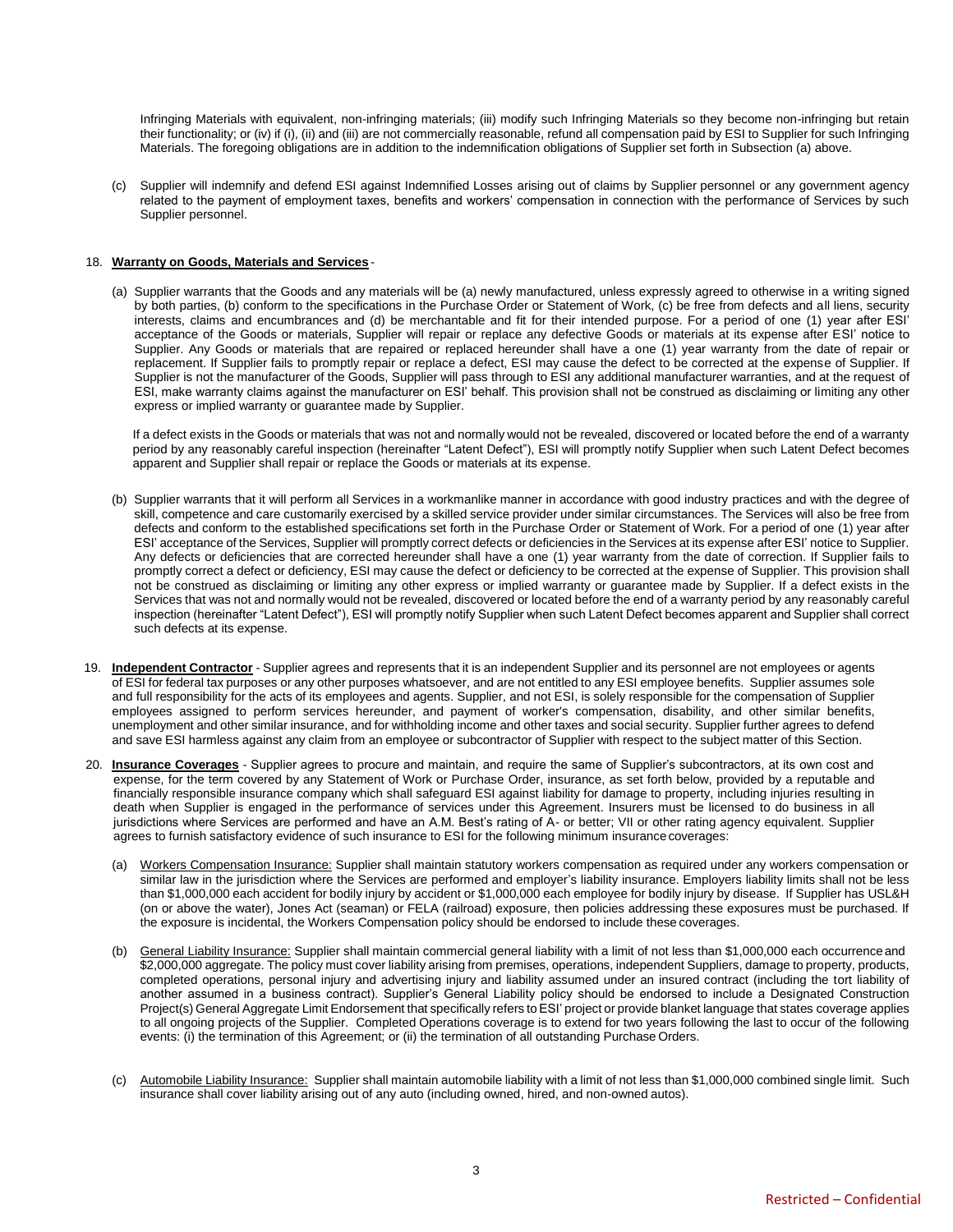Infringing Materials with equivalent, non-infringing materials; (iii) modify such Infringing Materials so they become non-infringing but retain their functionality; or (iv) if (i), (ii) and (iii) are not commercially reasonable, refund all compensation paid by ESI to Supplier for such Infringing Materials. The foregoing obligations are in addition to the indemnification obligations of Supplier set forth in Subsection (a) above.

(c) Supplier will indemnify and defend ESI against Indemnified Losses arising out of claims by Supplier personnel or any government agency related to the payment of employment taxes, benefits and workers' compensation in connection with the performance of Services by such Supplier personnel.

#### 18. **Warranty on Goods, Materials and Services** -

(a) Supplier warrants that the Goods and any materials will be (a) newly manufactured, unless expressly agreed to otherwise in a writing signed by both parties, (b) conform to the specifications in the Purchase Order or Statement of Work, (c) be free from defects and all liens, security interests, claims and encumbrances and (d) be merchantable and fit for their intended purpose. For a period of one (1) year after ESI' acceptance of the Goods or materials, Supplier will repair or replace any defective Goods or materials at its expense after ESI' notice to Supplier. Any Goods or materials that are repaired or replaced hereunder shall have a one (1) year warranty from the date of repair or replacement. If Supplier fails to promptly repair or replace a defect, ESI may cause the defect to be corrected at the expense of Supplier. If Supplier is not the manufacturer of the Goods, Supplier will pass through to ESI any additional manufacturer warranties, and at the request of ESI, make warranty claims against the manufacturer on ESI' behalf. This provision shall not be construed as disclaiming or limiting any other express or implied warranty or guarantee made by Supplier.

If a defect exists in the Goods or materials that was not and normally would not be revealed, discovered or located before the end of a warranty period by any reasonably careful inspection (hereinafter "Latent Defect"), ESI will promptly notify Supplier when such Latent Defect becomes apparent and Supplier shall repair or replace the Goods or materials at its expense.

- (b) Supplier warrants that it will perform all Services in a workmanlike manner in accordance with good industry practices and with the degree of skill, competence and care customarily exercised by a skilled service provider under similar circumstances. The Services will also be free from defects and conform to the established specifications set forth in the Purchase Order or Statement of Work. For a period of one (1) year after ESI' acceptance of the Services, Supplier will promptly correct defects or deficiencies in the Services at its expense after ESI' notice to Supplier. Any defects or deficiencies that are corrected hereunder shall have a one (1) year warranty from the date of correction. If Supplier fails to promptly correct a defect or deficiency, ESI may cause the defect or deficiency to be corrected at the expense of Supplier. This provision shall not be construed as disclaiming or limiting any other express or implied warranty or guarantee made by Supplier. If a defect exists in the Services that was not and normally would not be revealed, discovered or located before the end of a warranty period by any reasonably careful inspection (hereinafter "Latent Defect"), ESI will promptly notify Supplier when such Latent Defect becomes apparent and Supplier shall correct such defects at its expense.
- 19. **Independent Contractor** Supplier agrees and represents that it is an independent Supplier and its personnel are not employees or agents of ESI for federal tax purposes or any other purposes whatsoever, and are not entitled to any ESI employee benefits. Supplier assumes sole and full responsibility for the acts of its employees and agents. Supplier, and not ESI, is solely responsible for the compensation of Supplier employees assigned to perform services hereunder, and payment of worker's compensation, disability, and other similar benefits, unemployment and other similar insurance, and for withholding income and other taxes and social security. Supplier further agrees to defend and save ESI harmless against any claim from an employee or subcontractor of Supplier with respect to the subject matter of this Section.
- 20. **Insurance Coverages** Supplier agrees to procure and maintain, and require the same of Supplier's subcontractors, at its own cost and expense, for the term covered by any Statement of Work or Purchase Order, insurance, as set forth below, provided by a reputable and financially responsible insurance company which shall safeguard ESI against liability for damage to property, including injuries resulting in death when Supplier is engaged in the performance of services under this Agreement. Insurers must be licensed to do business in all jurisdictions where Services are performed and have an A.M. Best's rating of A- or better; VII or other rating agency equivalent. Supplier agrees to furnish satisfactory evidence of such insurance to ESI for the following minimum insurancecoverages:
	- (a) Workers Compensation Insurance: Supplier shall maintain statutory workers compensation as required under any workers compensation or similar law in the jurisdiction where the Services are performed and employer's liability insurance. Employers liability limits shall not be less than \$1,000,000 each accident for bodily injury by accident or \$1,000,000 each employee for bodily injury by disease. If Supplier has USL&H (on or above the water), Jones Act (seaman) or FELA (railroad) exposure, then policies addressing these exposures must be purchased. If the exposure is incidental, the Workers Compensation policy should be endorsed to include these coverages.
	- (b) General Liability Insurance: Supplier shall maintain commercial general liability with a limit of not less than \$1,000,000 each occurrence and \$2,000,000 aggregate. The policy must cover liability arising from premises, operations, independent Suppliers, damage to property, products, completed operations, personal injury and advertising injury and liability assumed under an insured contract (including the tort liability of another assumed in a business contract). Supplier's General Liability policy should be endorsed to include a Designated Construction Project(s) General Aggregate Limit Endorsement that specifically refers to ESI' project or provide blanket language that states coverage applies to all ongoing projects of the Supplier. Completed Operations coverage is to extend for two years following the last to occur of the following events: (i) the termination of this Agreement; or (ii) the termination of all outstanding Purchase Orders.
	- (c) Automobile Liability Insurance: Supplier shall maintain automobile liability with a limit of not less than \$1,000,000 combined single limit. Such insurance shall cover liability arising out of any auto (including owned, hired, and non-owned autos).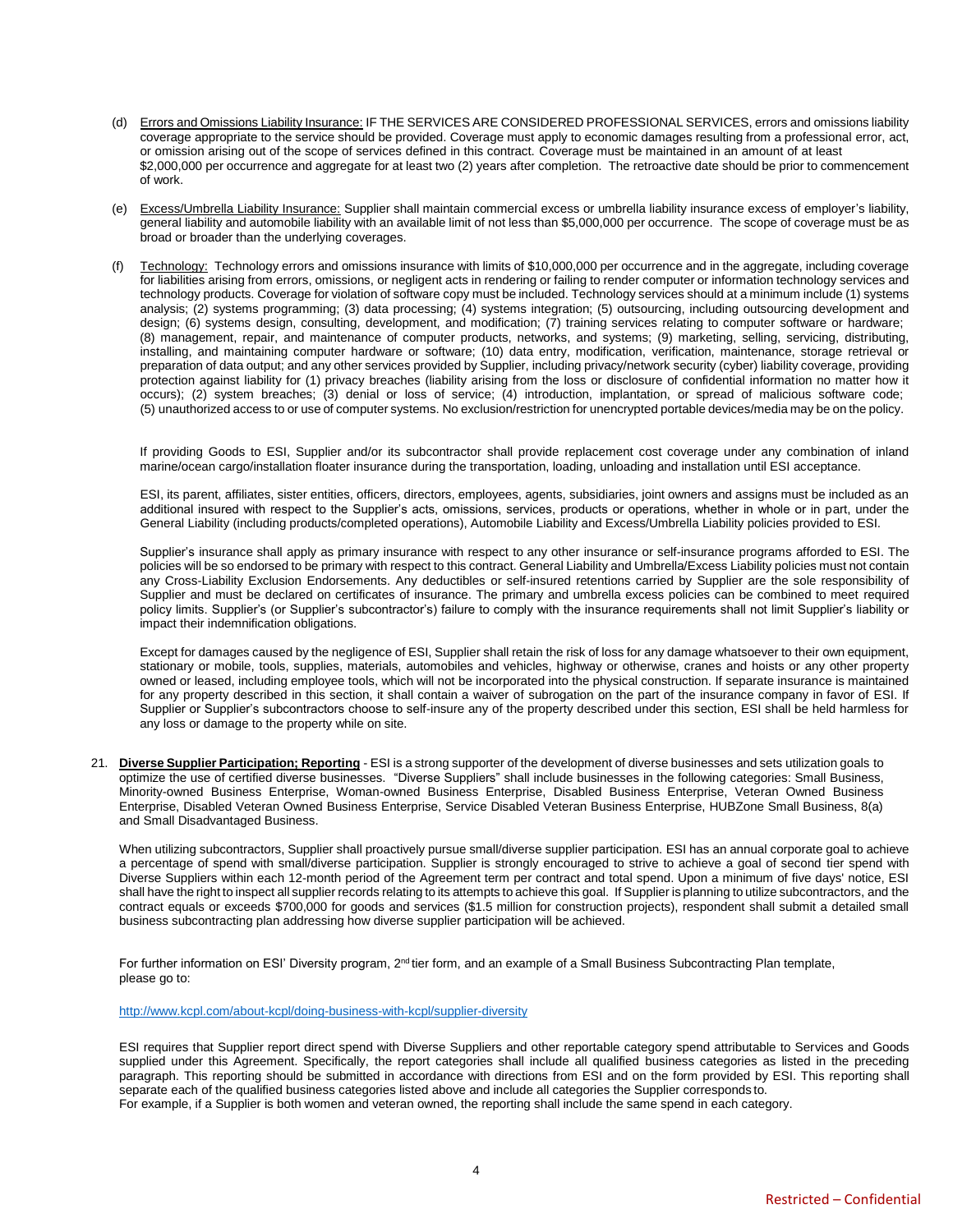- (d) Errors and Omissions Liability Insurance: IF THE SERVICES ARE CONSIDERED PROFESSIONAL SERVICES, errors and omissions liability coverage appropriate to the service should be provided. Coverage must apply to economic damages resulting from a professional error, act, or omission arising out of the scope of services defined in this contract. Coverage must be maintained in an amount of at least \$2,000,000 per occurrence and aggregate for at least two (2) years after completion. The retroactive date should be prior to commencement of work.
- (e) Excess/Umbrella Liability Insurance: Supplier shall maintain commercial excess or umbrella liability insurance excess of employer's liability, general liability and automobile liability with an available limit of not less than \$5,000,000 per occurrence. The scope of coverage must be as broad or broader than the underlying coverages.
- Technology: Technology errors and omissions insurance with limits of \$10,000,000 per occurrence and in the aggregate, including coverage for liabilities arising from errors, omissions, or negligent acts in rendering or failing to render computer or information technology services and technology products. Coverage for violation of software copy must be included. Technology services should at a minimum include (1) systems analysis; (2) systems programming; (3) data processing; (4) systems integration; (5) outsourcing, including outsourcing development and design; (6) systems design, consulting, development, and modification; (7) training services relating to computer software or hardware; (8) management, repair, and maintenance of computer products, networks, and systems; (9) marketing, selling, servicing, distributing, installing, and maintaining computer hardware or software; (10) data entry, modification, verification, maintenance, storage retrieval or preparation of data output; and any other services provided by Supplier, including privacy/network security (cyber) liability coverage, providing protection against liability for (1) privacy breaches (liability arising from the loss or disclosure of confidential information no matter how it occurs); (2) system breaches; (3) denial or loss of service; (4) introduction, implantation, or spread of malicious software code; (5) unauthorized access to or use of computer systems. No exclusion/restriction for unencrypted portable devices/media may be on the policy.

If providing Goods to ESI, Supplier and/or its subcontractor shall provide replacement cost coverage under any combination of inland marine/ocean cargo/installation floater insurance during the transportation, loading, unloading and installation until ESI acceptance.

ESI, its parent, affiliates, sister entities, officers, directors, employees, agents, subsidiaries, joint owners and assigns must be included as an additional insured with respect to the Supplier's acts, omissions, services, products or operations, whether in whole or in part, under the General Liability (including products/completed operations), Automobile Liability and Excess/Umbrella Liability policies provided to ESI.

Supplier's insurance shall apply as primary insurance with respect to any other insurance or self-insurance programs afforded to ESI. The policies will be so endorsed to be primary with respect to this contract. General Liability and Umbrella/Excess Liability policies must not contain any Cross-Liability Exclusion Endorsements. Any deductibles or self-insured retentions carried by Supplier are the sole responsibility of Supplier and must be declared on certificates of insurance. The primary and umbrella excess policies can be combined to meet required policy limits. Supplier's (or Supplier's subcontractor's) failure to comply with the insurance requirements shall not limit Supplier's liability or impact their indemnification obligations.

Except for damages caused by the negligence of ESI, Supplier shall retain the risk of loss for any damage whatsoever to their own equipment, stationary or mobile, tools, supplies, materials, automobiles and vehicles, highway or otherwise, cranes and hoists or any other property owned or leased, including employee tools, which will not be incorporated into the physical construction. If separate insurance is maintained for any property described in this section, it shall contain a waiver of subrogation on the part of the insurance company in favor of ESI. If Supplier or Supplier's subcontractors choose to self-insure any of the property described under this section, ESI shall be held harmless for any loss or damage to the property while on site.

21. **Diverse Supplier Participation; Reporting** - ESI is a strong supporter of the development of diverse businesses and sets utilization goals to optimize the use of certified diverse businesses. "Diverse Suppliers" shall include businesses in the following categories: Small Business, Minority-owned Business Enterprise, Woman-owned Business Enterprise, Disabled Business Enterprise, Veteran Owned Business Enterprise, Disabled Veteran Owned Business Enterprise, Service Disabled Veteran Business Enterprise, HUBZone Small Business, 8(a) and Small Disadvantaged Business.

When utilizing subcontractors, Supplier shall proactively pursue small/diverse supplier participation. ESI has an annual corporate goal to achieve a percentage of spend with small/diverse participation. Supplier is strongly encouraged to strive to achieve a goal of second tier spend with Diverse Suppliers within each 12-month period of the Agreement term per contract and total spend. Upon a minimum of five days' notice, ESI shall have the right to inspect all supplier records relating to its attempts to achieve this goal. If Supplier is planning to utilize subcontractors, and the contract equals or exceeds \$700,000 for goods and services (\$1.5 million for construction projects), respondent shall submit a detailed small business subcontracting plan addressing how diverse supplier participation will be achieved.

For further information on ESI' Diversity program,  $2<sup>nd</sup>$  tier form, and an example of a Small Business Subcontracting Plan template, please go to:

<http://www.kcpl.com/about-kcpl/doing-business-with-kcpl/supplier-diversity>

ESI requires that Supplier report direct spend with Diverse Suppliers and other reportable category spend attributable to Services and Goods supplied under this Agreement. Specifically, the report categories shall include all qualified business categories as listed in the preceding paragraph. This reporting should be submitted in accordance with directions from ESI and on the form provided by ESI. This reporting shall separate each of the qualified business categories listed above and include all categories the Supplier corresponds to. For example, if a Supplier is both women and veteran owned, the reporting shall include the same spend in each category.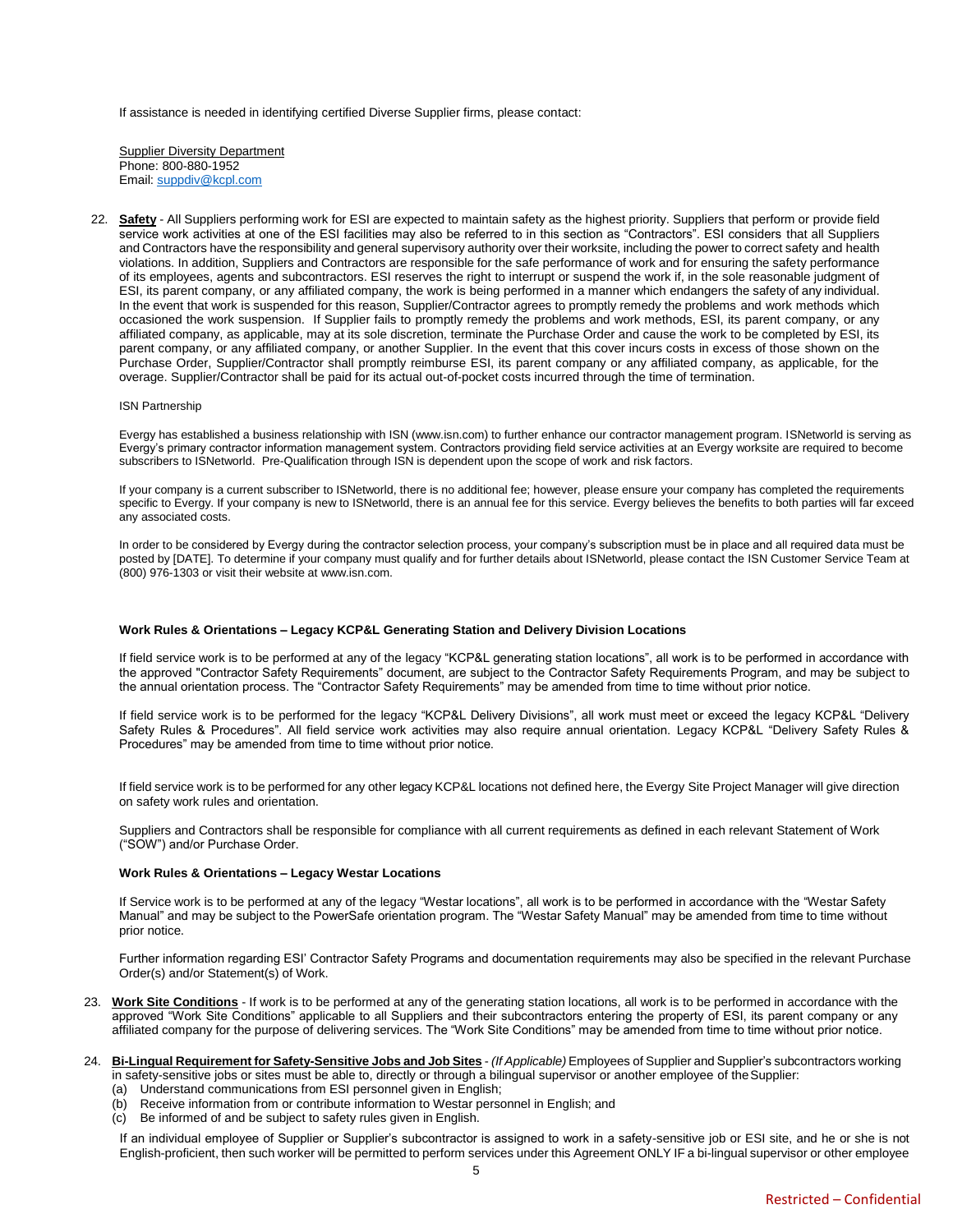If assistance is needed in identifying certified Diverse Supplier firms, please contact:

**Supplier Diversity Department** Phone: 800-880-1952 Email: [suppdiv@kcpl.com](mailto:suppdiv@kcpl.com)

22. **Safety** - All Suppliers performing work for ESI are expected to maintain safety as the highest priority. Suppliers that perform or provide field service work activities at one of the ESI facilities may also be referred to in this section as "Contractors". ESI considers that all Suppliers and Contractors have the responsibility and general supervisory authority over their worksite, including the power to correct safety and health violations. In addition, Suppliers and Contractors are responsible for the safe performance of work and for ensuring the safety performance of its employees, agents and subcontractors. ESI reserves the right to interrupt or suspend the work if, in the sole reasonable judgment of ESI, its parent company, or any affiliated company, the work is being performed in a manner which endangers the safety of any individual. In the event that work is suspended for this reason, Supplier/Contractor agrees to promptly remedy the problems and work methods which occasioned the work suspension. If Supplier fails to promptly remedy the problems and work methods, ESI, its parent company, or any affiliated company, as applicable, may at its sole discretion, terminate the Purchase Order and cause the work to be completed by ESI, its parent company, or any affiliated company, or another Supplier. In the event that this cover incurs costs in excess of those shown on the Purchase Order, Supplier/Contractor shall promptly reimburse ESI, its parent company or any affiliated company, as applicable, for the overage. Supplier/Contractor shall be paid for its actual out-of-pocket costs incurred through the time of termination.

#### ISN Partnership

Evergy has established a business relationship with ISN (www.isn.com) to further enhance our contractor management program. ISNetworld is serving as Evergy's primary contractor information management system. Contractors providing field service activities at an Evergy worksite are required to become subscribers to ISNetworld. Pre-Qualification through ISN is dependent upon the scope of work and risk factors.

If your company is a current subscriber to ISNetworld, there is no additional fee; however, please ensure your company has completed the requirements specific to Evergy. If your company is new to ISNetworld, there is an annual fee for this service. Evergy believes the benefits to both parties will far exceed any associated costs.

In order to be considered by Evergy during the contractor selection process, your company's subscription must be in place and all required data must be posted by [DATE]. To determine if your company must qualify and for further details about ISNetworld, please contact the ISN Customer Service Team at (800) 976-1303 or visit their website at www.isn.com.

#### **Work Rules & Orientations – Legacy KCP&L Generating Station and Delivery Division Locations**

If field service work is to be performed at any of the legacy "KCP&L generating station locations", all work is to be performed in accordance with the approved "Contractor Safety Requirements" document, are subject to the Contractor Safety Requirements Program, and may be subject to the annual orientation process. The "Contractor Safety Requirements" may be amended from time to time without prior notice.

If field service work is to be performed for the legacy "KCP&L Delivery Divisions", all work must meet or exceed the legacy KCP&L "Delivery Safety Rules & Procedures". All field service work activities may also require annual orientation. Legacy KCP&L "Delivery Safety Rules & Procedures" may be amended from time to time without prior notice.

If field service work is to be performed for any other legacy KCP&L locations not defined here, the Evergy Site Project Manager will give direction on safety work rules and orientation.

Suppliers and Contractors shall be responsible for compliance with all current requirements as defined in each relevant Statement of Work ("SOW") and/or Purchase Order.

#### **Work Rules & Orientations – Legacy Westar Locations**

If Service work is to be performed at any of the legacy "Westar locations", all work is to be performed in accordance with the "Westar Safety Manual" and may be subject to the PowerSafe orientation program. The "Westar Safety Manual" may be amended from time to time without prior notice.

Further information regarding ESI' Contractor Safety Programs and documentation requirements may also be specified in the relevant Purchase Order(s) and/or Statement(s) of Work.

- 23. **Work Site Conditions** If work is to be performed at any of the generating station locations, all work is to be performed in accordance with the approved "Work Site Conditions" applicable to all Suppliers and their subcontractors entering the property of ESI, its parent company or any affiliated company for the purpose of delivering services. The "Work Site Conditions" may be amended from time to time without prior notice.
- 24. **Bi-Lingual Requirement for Safety-Sensitive Jobs and Job Sites** *(If Applicable)* Employees of Supplier and Supplier's subcontractors working in safety-sensitive jobs or sites must be able to, directly or through a bilingual supervisor or another employee of theSupplier:
	- (a) Understand communications from ESI personnel given in English;
	- (b) Receive information from or contribute information to Westar personnel in English; and
	- (c) Be informed of and be subject to safety rules given in English.

If an individual employee of Supplier or Supplier's subcontractor is assigned to work in a safety-sensitive job or ESI site, and he or she is not English-proficient, then such worker will be permitted to perform services under this Agreement ONLY IF a bi-lingual supervisor or other employee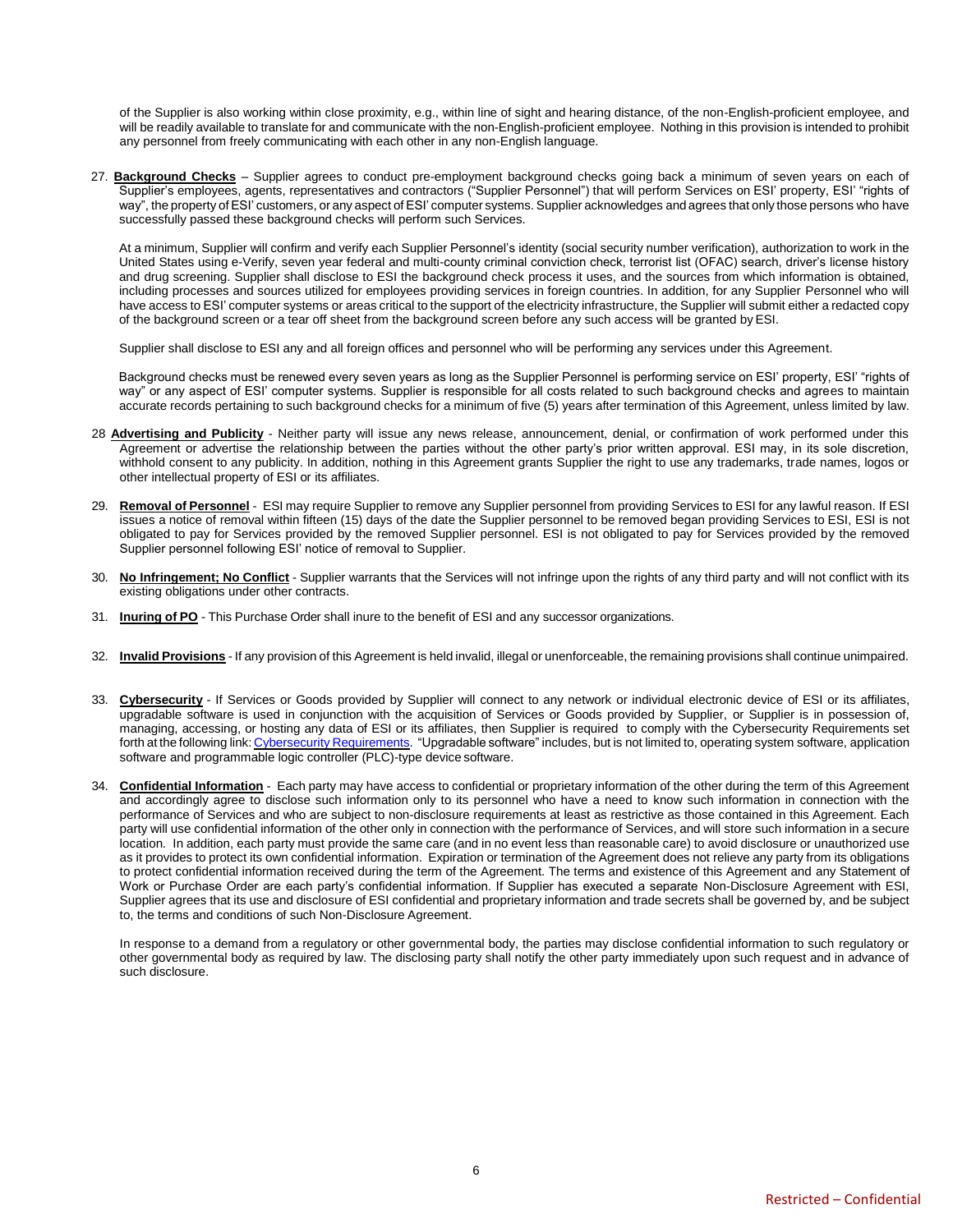of the Supplier is also working within close proximity, e.g., within line of sight and hearing distance, of the non-English-proficient employee, and will be readily available to translate for and communicate with the non-English-proficient employee. Nothing in this provision is intended to prohibit any personnel from freely communicating with each other in any non-English language.

27. **Background Checks** – Supplier agrees to conduct pre-employment background checks going back a minimum of seven years on each of Supplier's employees, agents, representatives and contractors ("Supplier Personnel") that will perform Services on ESI' property, ESI' "rights of way", the property of ESI' customers, or any aspect of ESI' computer systems. Supplier acknowledges and agrees that only those persons who have successfully passed these background checks will perform such Services.

At a minimum, Supplier will confirm and verify each Supplier Personnel's identity (social security number verification), authorization to work in the United States using e-Verify, seven year federal and multi-county criminal conviction check, terrorist list (OFAC) search, driver's license history and drug screening. Supplier shall disclose to ESI the background check process it uses, and the sources from which information is obtained, including processes and sources utilized for employees providing services in foreign countries. In addition, for any Supplier Personnel who will have access to ESI' computer systems or areas critical to the support of the electricity infrastructure, the Supplier will submit either a redacted copy of the background screen or a tear off sheet from the background screen before any such access will be granted byESI.

Supplier shall disclose to ESI any and all foreign offices and personnel who will be performing any services under this Agreement.

Background checks must be renewed every seven years as long as the Supplier Personnel is performing service on ESI' property, ESI' "rights of way" or any aspect of ESI' computer systems. Supplier is responsible for all costs related to such background checks and agrees to maintain accurate records pertaining to such background checks for a minimum of five (5) years after termination of this Agreement, unless limited by law.

- 28 **Advertising and Publicity** Neither party will issue any news release, announcement, denial, or confirmation of work performed under this Agreement or advertise the relationship between the parties without the other party's prior written approval. ESI may, in its sole discretion, withhold consent to any publicity. In addition, nothing in this Agreement grants Supplier the right to use any trademarks, trade names, logos or other intellectual property of ESI or its affiliates.
- 29. **Removal of Personnel** ESI may require Supplier to remove any Supplier personnel from providing Services to ESI for any lawful reason. If ESI issues a notice of removal within fifteen (15) days of the date the Supplier personnel to be removed began providing Services to ESI, ESI is not obligated to pay for Services provided by the removed Supplier personnel. ESI is not obligated to pay for Services provided by the removed Supplier personnel following ESI' notice of removal to Supplier.
- 30. **No Infringement; No Conflict** Supplier warrants that the Services will not infringe upon the rights of any third party and will not conflict with its existing obligations under other contracts.
- 31. **Inuring of PO** This Purchase Order shall inure to the benefit of ESI and any successor organizations.
- 32. **Invalid Provisions** If any provision of this Agreement is held invalid, illegal or unenforceable, the remaining provisions shall continue unimpaired.
- 33. Cybersecurity If Services or Goods provided by Supplier will connect to any network or individual electronic device of ESI or its affiliates, upgradable software is used in conjunction with the acquisition of Services or Goods provided by Supplier, or Supplier is in possession of, managing, accessing, or hosting any data of ESI or its affiliates, then Supplier is required to comply with the Cybersecurity Requirements set forth at the following link: Cybersecurity [Requirements.](https://www.westarenergy.com/Portals/0/Resources/Documents/PDFs/CyberSecurity_Requirements_Updated_04.01.2019.pdf) "Upgradable software" includes, but is not limited to, operating system software, application software and programmable logic controller (PLC)-type device software.
- 34. **Confidential Information** Each party may have access to confidential or proprietary information of the other during the term of this Agreement and accordingly agree to disclose such information only to its personnel who have a need to know such information in connection with the performance of Services and who are subject to non-disclosure requirements at least as restrictive as those contained in this Agreement. Each party will use confidential information of the other only in connection with the performance of Services, and will store such information in a secure location. In addition, each party must provide the same care (and in no event less than reasonable care) to avoid disclosure or unauthorized use as it provides to protect its own confidential information. Expiration or termination of the Agreement does not relieve any party from its obligations to protect confidential information received during the term of the Agreement. The terms and existence of this Agreement and any Statement of Work or Purchase Order are each party's confidential information. If Supplier has executed a separate Non-Disclosure Agreement with ESI, Supplier agrees that its use and disclosure of ESI confidential and proprietary information and trade secrets shall be governed by, and be subject to, the terms and conditions of such Non-Disclosure Agreement.

In response to a demand from a regulatory or other governmental body, the parties may disclose confidential information to such regulatory or other governmental body as required by law. The disclosing party shall notify the other party immediately upon such request and in advance of such disclosure.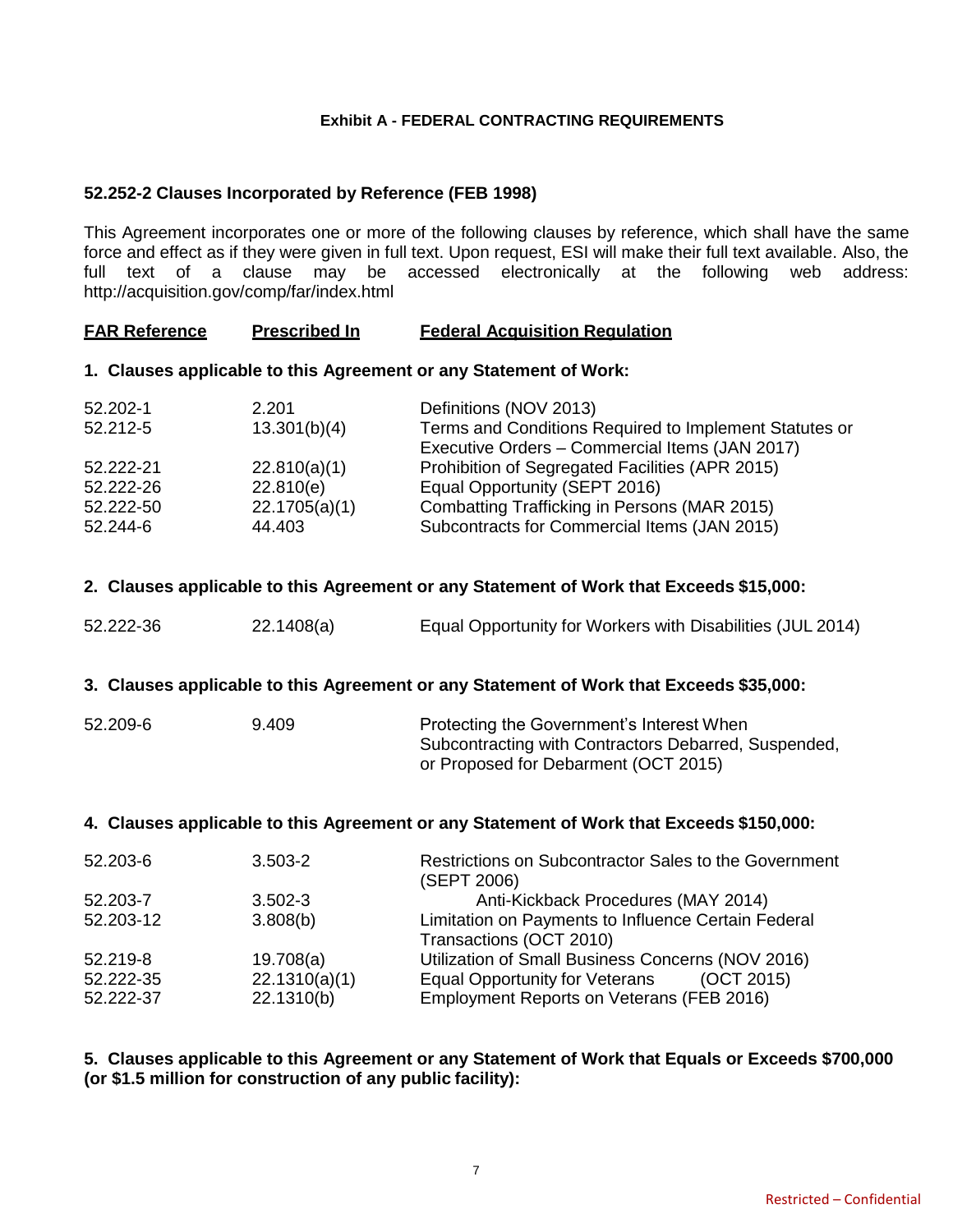## **Exhibit A - FEDERAL CONTRACTING REQUIREMENTS**

## **52.252-2 Clauses Incorporated by Reference (FEB 1998)**

This Agreement incorporates one or more of the following clauses by reference, which shall have the same force and effect as if they were given in full text. Upon request, ESI will make their full text available. Also, the full text of a clause may be accessed electronically at the following web address: <http://acquisition.gov/comp/far/index.html>

## **FAR Reference Prescribed In Federal Acquisition Regulation**

### **1. Clauses applicable to this Agreement or any Statement of Work:**

| 52.202-1  | 2.201         | Definitions (NOV 2013)                                 |
|-----------|---------------|--------------------------------------------------------|
| 52.212-5  | 13.301(b)(4)  | Terms and Conditions Required to Implement Statutes or |
|           |               | Executive Orders - Commercial Items (JAN 2017)         |
| 52.222-21 | 22.810(a)(1)  | Prohibition of Segregated Facilities (APR 2015)        |
| 52.222-26 | 22.810(e)     | Equal Opportunity (SEPT 2016)                          |
| 52.222-50 | 22.1705(a)(1) | Combatting Trafficking in Persons (MAR 2015)           |
| 52.244-6  | 44.403        | Subcontracts for Commercial Items (JAN 2015)           |

### **2. Clauses applicable to this Agreement or any Statement of Work that Exceeds \$15,000:**

| 52.222-36 | 22.1408(a) | Equal Opportunity for Workers with Disabilities (JUL 2014) |
|-----------|------------|------------------------------------------------------------|
|-----------|------------|------------------------------------------------------------|

### **3. Clauses applicable to this Agreement or any Statement of Work that Exceeds \$35,000:**

| 52.209-6 | 9.409 | Protecting the Government's Interest When            |
|----------|-------|------------------------------------------------------|
|          |       | Subcontracting with Contractors Debarred, Suspended, |
|          |       | or Proposed for Debarment (OCT 2015)                 |

## **4. Clauses applicable to this Agreement or any Statement of Work that Exceeds \$150,000:**

| 52.203-6  | $3.503 - 2$   | Restrictions on Subcontractor Sales to the Government<br>(SEPT 2006) |
|-----------|---------------|----------------------------------------------------------------------|
| 52.203-7  | $3.502 - 3$   | Anti-Kickback Procedures (MAY 2014)                                  |
| 52.203-12 | 3.808(b)      | Limitation on Payments to Influence Certain Federal                  |
|           |               | Transactions (OCT 2010)                                              |
| 52.219-8  | 19.708(a)     | Utilization of Small Business Concerns (NOV 2016)                    |
| 52.222-35 | 22.1310(a)(1) | <b>Equal Opportunity for Veterans</b><br>(OCT 2015)                  |
| 52.222-37 | 22.1310(b)    | Employment Reports on Veterans (FEB 2016)                            |

## **5. Clauses applicable to this Agreement or any Statement of Work that Equals or Exceeds \$700,000 (or \$1.5 million for construction of any public facility):**